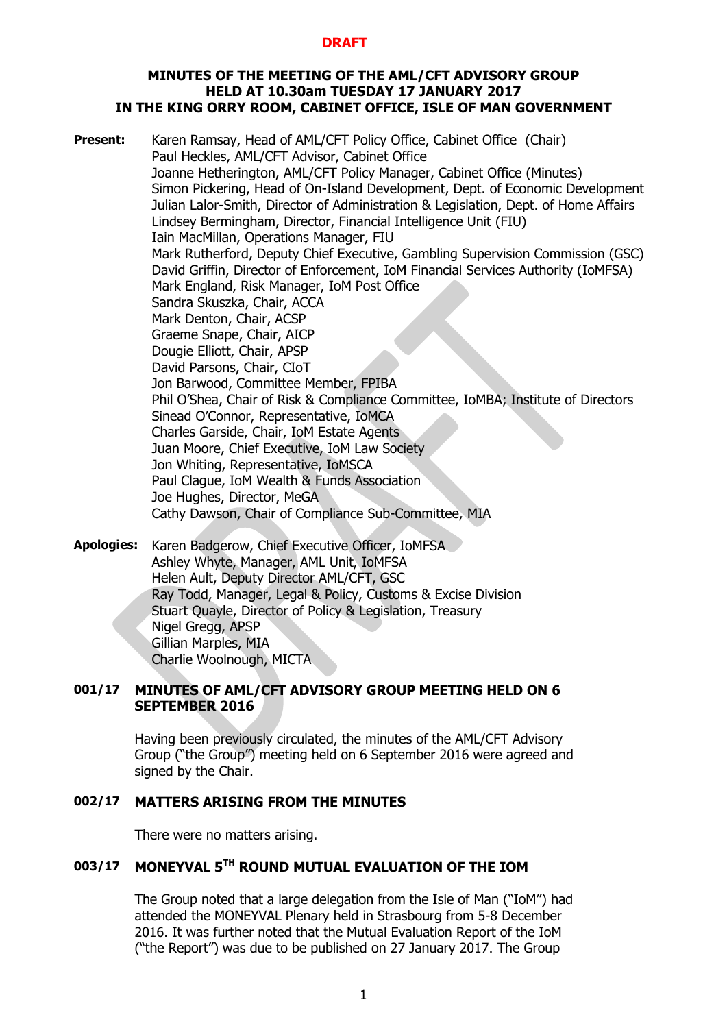## **MINUTES OF THE MEETING OF THE AML/CFT ADVISORY GROUP HELD AT 10.30am TUESDAY 17 JANUARY 2017 IN THE KING ORRY ROOM, CABINET OFFICE, ISLE OF MAN GOVERNMENT**

**Present:** Karen Ramsay, Head of AML/CFT Policy Office, Cabinet Office (Chair) Paul Heckles, AML/CFT Advisor, Cabinet Office Joanne Hetherington, AML/CFT Policy Manager, Cabinet Office (Minutes) Simon Pickering, Head of On-Island Development, Dept. of Economic Development Julian Lalor-Smith, Director of Administration & Legislation, Dept. of Home Affairs Lindsey Bermingham, Director, Financial Intelligence Unit (FIU) Iain MacMillan, Operations Manager, FIU Mark Rutherford, Deputy Chief Executive, Gambling Supervision Commission (GSC) David Griffin, Director of Enforcement, IoM Financial Services Authority (IoMFSA) Mark England, Risk Manager, IoM Post Office Sandra Skuszka, Chair, ACCA Mark Denton, Chair, ACSP Graeme Snape, Chair, AICP Dougie Elliott, Chair, APSP David Parsons, Chair, CIoT Jon Barwood, Committee Member, FPIBA Phil O'Shea, Chair of Risk & Compliance Committee, IoMBA; Institute of Directors Sinead O'Connor, Representative, IoMCA Charles Garside, Chair, IoM Estate Agents Juan Moore, Chief Executive, IoM Law Society Jon Whiting, Representative, IoMSCA Paul Clague, IoM Wealth & Funds Association Joe Hughes, Director, MeGA Cathy Dawson, Chair of Compliance Sub-Committee, MIA **Apologies:** Karen Badgerow, Chief Executive Officer, IoMFSA

Ashley Whyte, Manager, AML Unit, IoMFSA Helen Ault, Deputy Director AML/CFT, GSC Ray Todd, Manager, Legal & Policy, Customs & Excise Division Stuart Quayle, Director of Policy & Legislation, Treasury Nigel Gregg, APSP Gillian Marples, MIA Charlie Woolnough, MICTA

# **001/17 MINUTES OF AML/CFT ADVISORY GROUP MEETING HELD ON 6 SEPTEMBER 2016**

Having been previously circulated, the minutes of the AML/CFT Advisory Group ("the Group") meeting held on 6 September 2016 were agreed and signed by the Chair.

# **002/17 MATTERS ARISING FROM THE MINUTES**

There were no matters arising.

# **003/17 MONEYVAL 5TH ROUND MUTUAL EVALUATION OF THE IOM**

The Group noted that a large delegation from the Isle of Man ("IoM") had attended the MONEYVAL Plenary held in Strasbourg from 5-8 December 2016. It was further noted that the Mutual Evaluation Report of the IoM ("the Report") was due to be published on 27 January 2017. The Group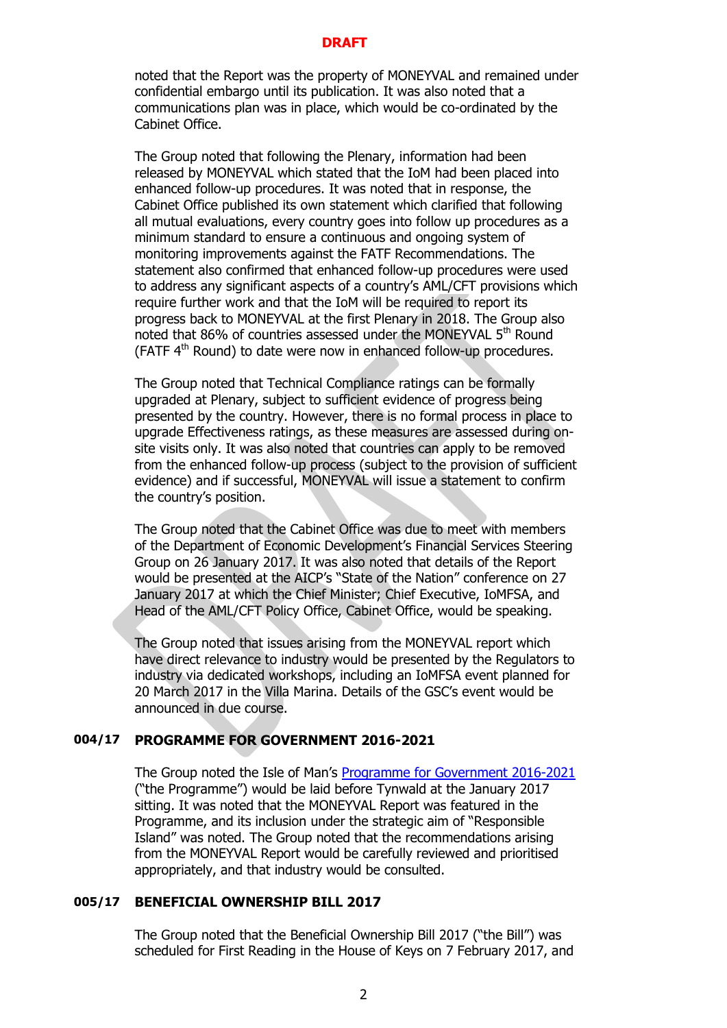noted that the Report was the property of MONEYVAL and remained under confidential embargo until its publication. It was also noted that a communications plan was in place, which would be co-ordinated by the Cabinet Office.

The Group noted that following the Plenary, information had been released by MONEYVAL which stated that the IoM had been placed into enhanced follow-up procedures. It was noted that in response, the Cabinet Office published its own statement which clarified that following all mutual evaluations, every country goes into follow up procedures as a minimum standard to ensure a continuous and ongoing system of monitoring improvements against the FATF Recommendations. The statement also confirmed that enhanced follow-up procedures were used to address any significant aspects of a country's AML/CFT provisions which require further work and that the IoM will be required to report its progress back to MONEYVAL at the first Plenary in 2018. The Group also noted that 86% of countries assessed under the MONEYVAL  $5<sup>th</sup>$  Round (FATF  $4<sup>th</sup>$  Round) to date were now in enhanced follow-up procedures.

The Group noted that Technical Compliance ratings can be formally upgraded at Plenary, subject to sufficient evidence of progress being presented by the country. However, there is no formal process in place to upgrade Effectiveness ratings, as these measures are assessed during onsite visits only. It was also noted that countries can apply to be removed from the enhanced follow-up process (subject to the provision of sufficient evidence) and if successful, MONEYVAL will issue a statement to confirm the country's position.

The Group noted that the Cabinet Office was due to meet with members of the Department of Economic Development's Financial Services Steering Group on 26 January 2017. It was also noted that details of the Report would be presented at the AICP's "State of the Nation" conference on 27 January 2017 at which the Chief Minister; Chief Executive, IoMFSA, and Head of the AML/CFT Policy Office, Cabinet Office, would be speaking.

The Group noted that issues arising from the MONEYVAL report which have direct relevance to industry would be presented by the Regulators to industry via dedicated workshops, including an IoMFSA event planned for 20 March 2017 in the Villa Marina. Details of the GSC's event would be announced in due course.

# **004/17 PROGRAMME FOR GOVERNMENT 2016-2021**

The Group noted the Isle of Man's [Programme for Government 2016-2021](https://www.gov.im/media/1354707/programme-for-government-2016-2021.pdf) ("the Programme") would be laid before Tynwald at the January 2017 sitting. It was noted that the MONEYVAL Report was featured in the Programme, and its inclusion under the strategic aim of "Responsible Island" was noted. The Group noted that the recommendations arising from the MONEYVAL Report would be carefully reviewed and prioritised appropriately, and that industry would be consulted.

# **005/17 BENEFICIAL OWNERSHIP BILL 2017**

The Group noted that the Beneficial Ownership Bill 2017 ("the Bill") was scheduled for First Reading in the House of Keys on 7 February 2017, and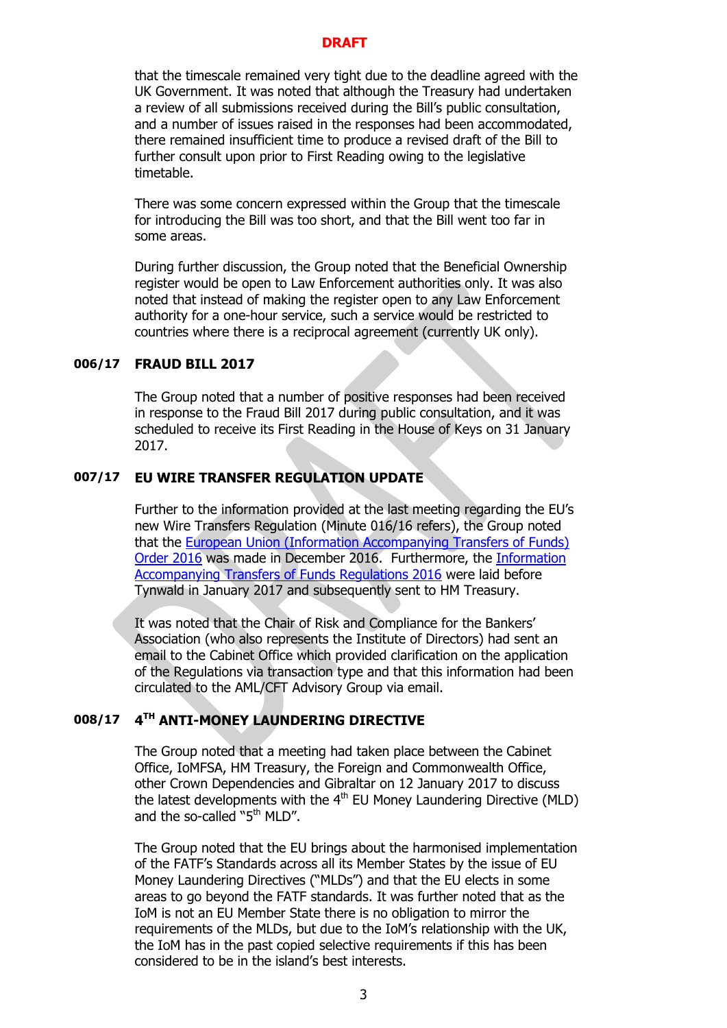that the timescale remained very tight due to the deadline agreed with the UK Government. It was noted that although the Treasury had undertaken a review of all submissions received during the Bill's public consultation, and a number of issues raised in the responses had been accommodated, there remained insufficient time to produce a revised draft of the Bill to further consult upon prior to First Reading owing to the legislative timetable.

There was some concern expressed within the Group that the timescale for introducing the Bill was too short, and that the Bill went too far in some areas.

During further discussion, the Group noted that the Beneficial Ownership register would be open to Law Enforcement authorities only. It was also noted that instead of making the register open to any Law Enforcement authority for a one-hour service, such a service would be restricted to countries where there is a reciprocal agreement (currently UK only).

## **006/17 FRAUD BILL 2017**

The Group noted that a number of positive responses had been received in response to the Fraud Bill 2017 during public consultation, and it was scheduled to receive its First Reading in the House of Keys on 31 January 2017.

# **007/17 EU WIRE TRANSFER REGULATION UPDATE**

Further to the information provided at the last meeting regarding the EU's new Wire Transfers Regulation (Minute 016/16 refers), the Group noted that the [European Union \(Information Accompanying Transfers of Funds\)](http://www.tynwald.org.im/business/opqp/sittings/Tynwald%2020162018/2016-SD-0349.pdf)  [Order 2016](http://www.tynwald.org.im/business/opqp/sittings/Tynwald%2020162018/2016-SD-0349.pdf) was made in December 2016. Furthermore, the [Information](http://www.tynwald.org.im/business/opqp/sittings/Tynwald%2020162018/2016-SD-0350.pdf)  [Accompanying Transfers of Funds Regulations 2016](http://www.tynwald.org.im/business/opqp/sittings/Tynwald%2020162018/2016-SD-0350.pdf) were laid before Tynwald in January 2017 and subsequently sent to HM Treasury.

It was noted that the Chair of Risk and Compliance for the Bankers' Association (who also represents the Institute of Directors) had sent an email to the Cabinet Office which provided clarification on the application of the Regulations via transaction type and that this information had been circulated to the AML/CFT Advisory Group via email.

#### **008/17 4 TH ANTI-MONEY LAUNDERING DIRECTIVE**

The Group noted that a meeting had taken place between the Cabinet Office, IoMFSA, HM Treasury, the Foreign and Commonwealth Office, other Crown Dependencies and Gibraltar on 12 January 2017 to discuss the latest developments with the  $4<sup>th</sup>$  EU Money Laundering Directive (MLD) and the so-called "5<sup>th</sup> MLD".

The Group noted that the EU brings about the harmonised implementation of the FATF's Standards across all its Member States by the issue of EU Money Laundering Directives ("MLDs") and that the EU elects in some areas to go beyond the FATF standards. It was further noted that as the IoM is not an EU Member State there is no obligation to mirror the requirements of the MLDs, but due to the IoM's relationship with the UK, the IoM has in the past copied selective requirements if this has been considered to be in the island's best interests.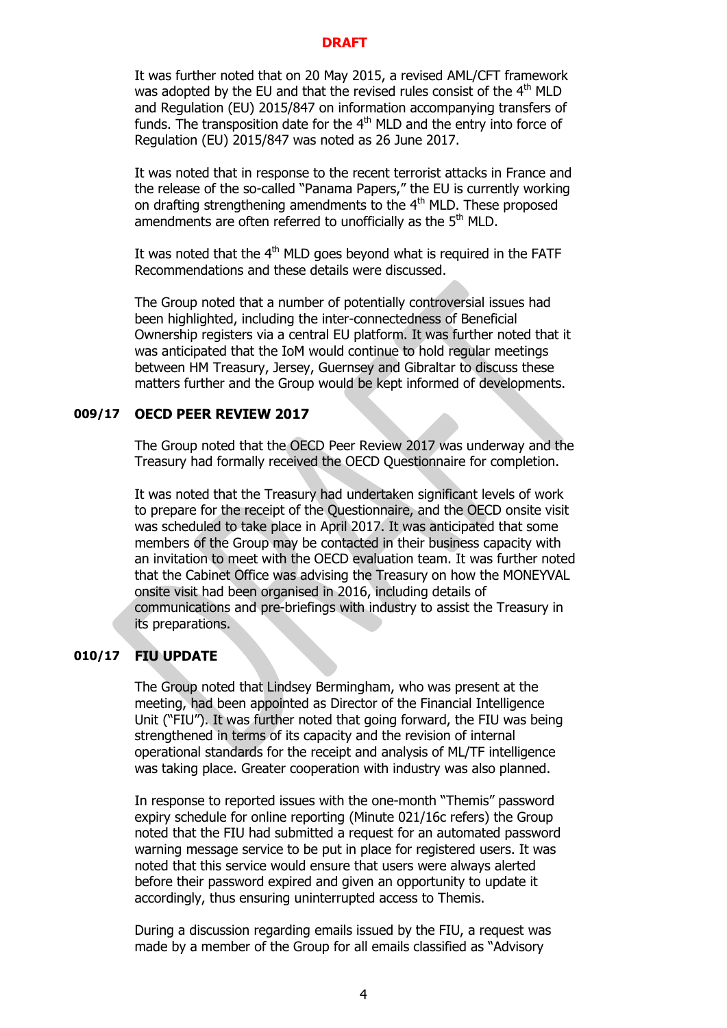It was further noted that on 20 May 2015, a revised AML/CFT framework was adopted by the EU and that the revised rules consist of the  $4<sup>th</sup>$  MLD and Regulation (EU) 2015/847 on information accompanying transfers of funds. The transposition date for the  $4<sup>th</sup>$  MLD and the entry into force of Regulation (EU) 2015/847 was noted as 26 June 2017.

It was noted that in response to the recent terrorist attacks in France and the release of the so-called "Panama Papers," the EU is currently working on drafting strengthening amendments to the 4<sup>th</sup> MLD. These proposed amendments are often referred to unofficially as the 5<sup>th</sup> MLD.

It was noted that the  $4<sup>th</sup>$  MLD goes beyond what is required in the FATF Recommendations and these details were discussed.

The Group noted that a number of potentially controversial issues had been highlighted, including the inter-connectedness of Beneficial Ownership registers via a central EU platform. It was further noted that it was anticipated that the IoM would continue to hold regular meetings between HM Treasury, Jersey, Guernsey and Gibraltar to discuss these matters further and the Group would be kept informed of developments.

## **009/17 OECD PEER REVIEW 2017**

The Group noted that the OECD Peer Review 2017 was underway and the Treasury had formally received the OECD Questionnaire for completion.

It was noted that the Treasury had undertaken significant levels of work to prepare for the receipt of the Questionnaire, and the OECD onsite visit was scheduled to take place in April 2017. It was anticipated that some members of the Group may be contacted in their business capacity with an invitation to meet with the OECD evaluation team. It was further noted that the Cabinet Office was advising the Treasury on how the MONEYVAL onsite visit had been organised in 2016, including details of communications and pre-briefings with industry to assist the Treasury in its preparations.

# **010/17 FIU UPDATE**

The Group noted that Lindsey Bermingham, who was present at the meeting, had been appointed as Director of the Financial Intelligence Unit ("FIU"). It was further noted that going forward, the FIU was being strengthened in terms of its capacity and the revision of internal operational standards for the receipt and analysis of ML/TF intelligence was taking place. Greater cooperation with industry was also planned.

In response to reported issues with the one-month "Themis" password expiry schedule for online reporting (Minute 021/16c refers) the Group noted that the FIU had submitted a request for an automated password warning message service to be put in place for registered users. It was noted that this service would ensure that users were always alerted before their password expired and given an opportunity to update it accordingly, thus ensuring uninterrupted access to Themis.

During a discussion regarding emails issued by the FIU, a request was made by a member of the Group for all emails classified as "Advisory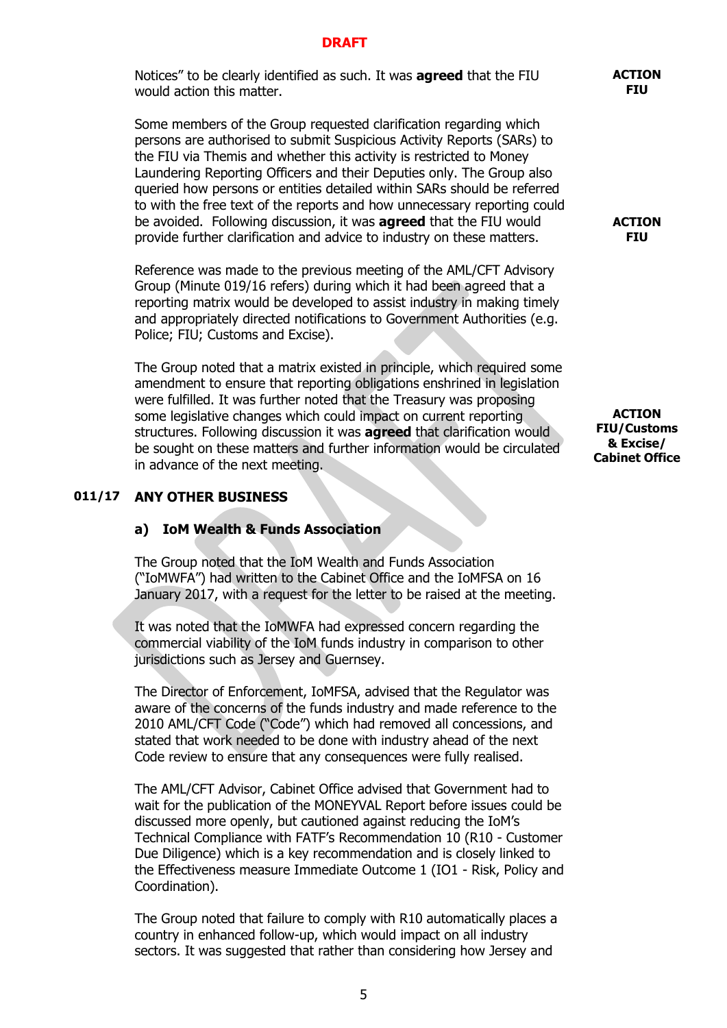Notices" to be clearly identified as such. It was **agreed** that the FIU would action this matter.

Some members of the Group requested clarification regarding which persons are authorised to submit Suspicious Activity Reports (SARs) to the FIU via Themis and whether this activity is restricted to Money Laundering Reporting Officers and their Deputies only. The Group also queried how persons or entities detailed within SARs should be referred to with the free text of the reports and how unnecessary reporting could be avoided. Following discussion, it was **agreed** that the FIU would provide further clarification and advice to industry on these matters.

Reference was made to the previous meeting of the AML/CFT Advisory Group (Minute 019/16 refers) during which it had been agreed that a reporting matrix would be developed to assist industry in making timely and appropriately directed notifications to Government Authorities (e.g. Police; FIU; Customs and Excise).

The Group noted that a matrix existed in principle, which required some amendment to ensure that reporting obligations enshrined in legislation were fulfilled. It was further noted that the Treasury was proposing some legislative changes which could impact on current reporting structures. Following discussion it was **agreed** that clarification would be sought on these matters and further information would be circulated in advance of the next meeting.

## **011/17 ANY OTHER BUSINESS**

## **a) IoM Wealth & Funds Association**

The Group noted that the IoM Wealth and Funds Association ("IoMWFA") had written to the Cabinet Office and the IoMFSA on 16 January 2017, with a request for the letter to be raised at the meeting.

It was noted that the IoMWFA had expressed concern regarding the commercial viability of the IoM funds industry in comparison to other jurisdictions such as Jersey and Guernsey.

The Director of Enforcement, IoMFSA, advised that the Regulator was aware of the concerns of the funds industry and made reference to the 2010 AML/CFT Code ("Code") which had removed all concessions, and stated that work needed to be done with industry ahead of the next Code review to ensure that any consequences were fully realised.

The AML/CFT Advisor, Cabinet Office advised that Government had to wait for the publication of the MONEYVAL Report before issues could be discussed more openly, but cautioned against reducing the IoM's Technical Compliance with FATF's Recommendation 10 (R10 - Customer Due Diligence) which is a key recommendation and is closely linked to the Effectiveness measure Immediate Outcome 1 (IO1 - Risk, Policy and Coordination).

The Group noted that failure to comply with R10 automatically places a country in enhanced follow-up, which would impact on all industry sectors. It was suggested that rather than considering how Jersey and

#### **ACTION FIU**

**ACTION FIU**

**ACTION FIU/Customs & Excise/ Cabinet Office**